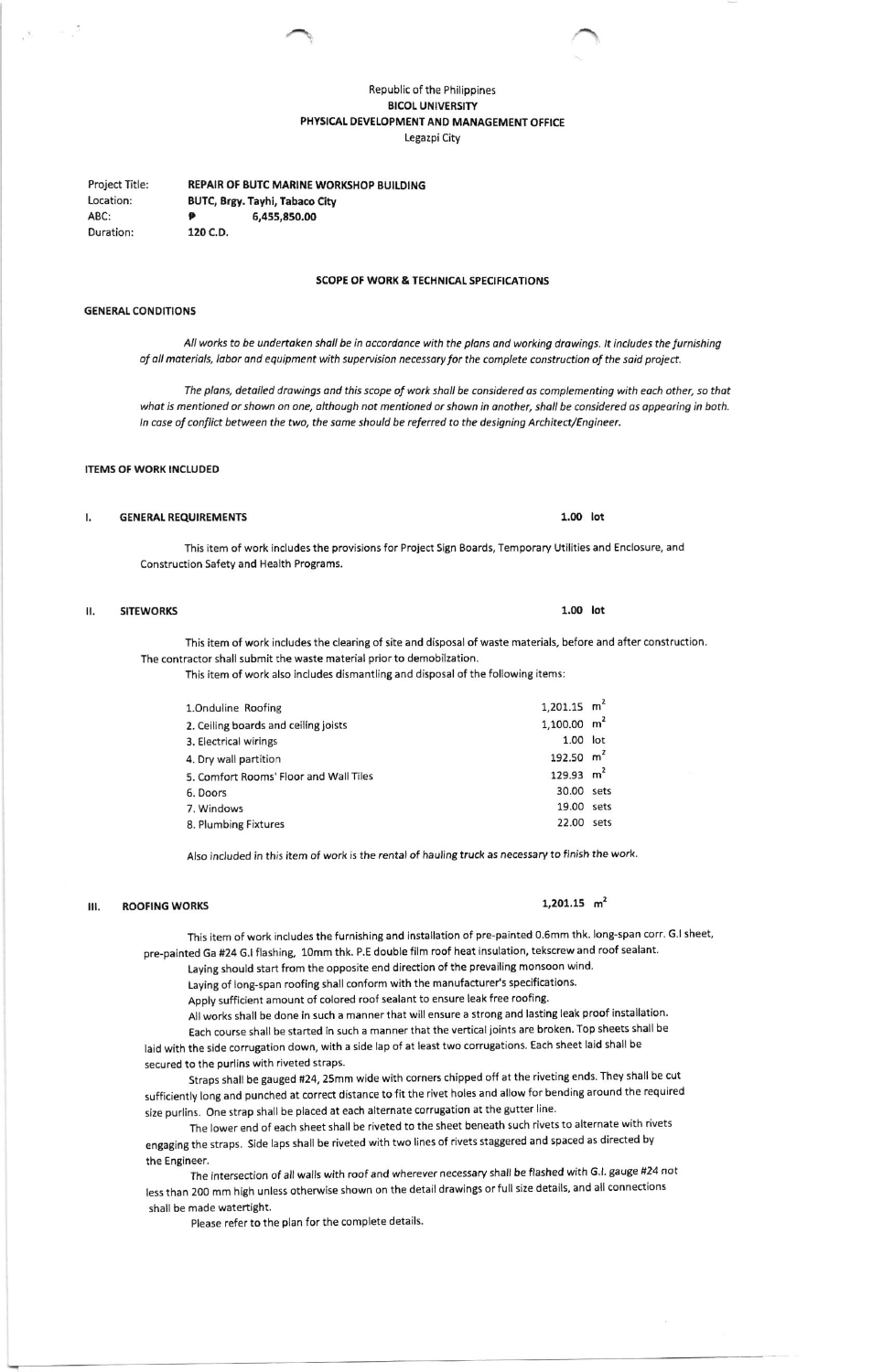# Republic of the Philippines **BICOL UNIVERSITY** PHYSICAL DEVELOPMENT AND MANAGEMENT OFFICE Legazpi City

**REPAIR OF BUTC MARINE WORKSHOP BUILDING** Project Title: Location: BUTC, Brgy. Tayhi, Tabaco City ABC: 6,455,850.00 Duration: 120 C.D.

## **SCOPE OF WORK & TECHNICAL SPECIFICATIONS**

### **GENERAL CONDITIONS**

All works to be undertaken shall be in accordance with the plans and working drawings. It includes the furnishing of all materials, labor and equipment with supervision necessary for the complete construction of the said project.

The plans, detailed drawings and this scope of work shall be considered as complementing with each other, so that what is mentioned or shown on one, although not mentioned or shown in another, shall be considered as appearing in both. In case of conflict between the two, the same should be referred to the designing Architect/Engineer.

# **ITEMS OF WORK INCLUDED**

#### **GENERAL REQUIREMENTS** ı.

This item of work includes the provisions for Project Sign Boards, Temporary Utilities and Enclosure, and Construction Safety and Health Programs.

#### **SITEWORKS** Ш.

This item of work includes the clearing of site and disposal of waste materials, before and after construction. The contractor shall submit the waste material prior to demobilzation.

This item of work also includes dismantling and disposal of the following items:

| 1.Onduline Roofing                     | 1,201.15 $m2$          |      |
|----------------------------------------|------------------------|------|
| 2. Ceiling boards and ceiling joists   | $1,100.00 \text{ m}^2$ |      |
| 3. Electrical wirings                  | $1.00$ lot             |      |
| 4. Dry wall partition                  | 192.50 $m^2$           |      |
| 5. Comfort Rooms' Floor and Wall Tiles | 129.93 $m^2$           |      |
| 6. Doors                               | 30.00 sets             |      |
| 7. Windows                             | 19.00                  | sets |
| 8. Plumbing Fixtures                   | 22.00                  | sets |

Also included in this item of work is the rental of hauling truck as necessary to finish the work.

#### $III.$ **ROOFING WORKS**

1,201.15  $m<sup>2</sup>$ 

This item of work includes the furnishing and installation of pre-painted 0.6mm thk. long-span corr. G.I sheet, pre-painted Ga #24 G.I flashing, 10mm thk. P.E double film roof heat insulation, tekscrew and roof sealant.

Laying should start from the opposite end direction of the prevailing monsoon wind.

Laying of long-span roofing shall conform with the manufacturer's specifications. Apply sufficient amount of colored roof sealant to ensure leak free roofing.

All works shall be done in such a manner that will ensure a strong and lasting leak proof installation. Each course shall be started in such a manner that the vertical joints are broken. Top sheets shall be

laid with the side corrugation down, with a side lap of at least two corrugations. Each sheet laid shall be secured to the purlins with riveted straps.

Straps shall be gauged #24, 25mm wide with corners chipped off at the riveting ends. They shall be cut sufficiently long and punched at correct distance to fit the rivet holes and allow for bending around the required size purlins. One strap shall be placed at each alternate corrugation at the gutter line.

The lower end of each sheet shall be riveted to the sheet beneath such rivets to alternate with rivets engaging the straps. Side laps shall be riveted with two lines of rivets staggered and spaced as directed by the Engineer.

The intersection of all walls with roof and wherever necessary shall be flashed with G.I. gauge #24 not less than 200 mm high unless otherwise shown on the detail drawings or full size details, and all connections shall be made watertight.

Please refer to the plan for the complete details.

 $1.00$  lot

## $1.00$  lot